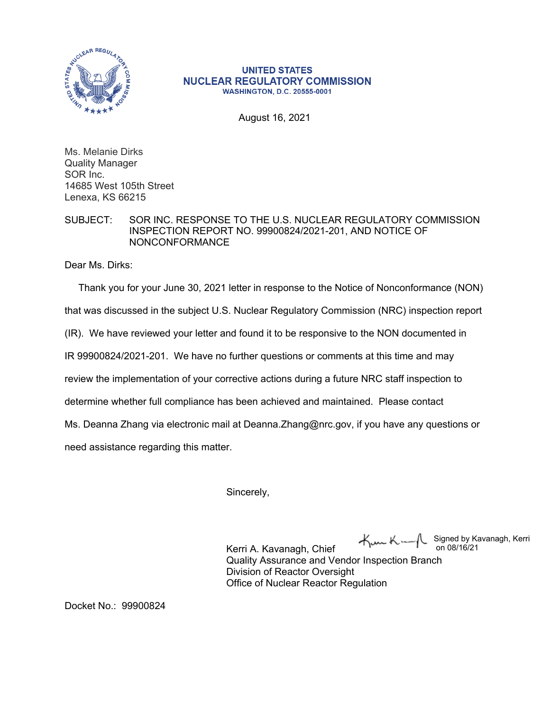

## **UNITED STATES NUCLEAR REGULATORY COMMISSION WASHINGTON, D.C. 20555-0001**

August 16, 2021

Ms. Melanie Dirks Quality Manager SOR Inc. 14685 West 105th Street Lenexa, KS 66215

## SUBJECT: SOR INC. RESPONSE TO THE U.S. NUCLEAR REGULATORY COMMISSION INSPECTION REPORT NO. 99900824/2021-201, AND NOTICE OF NONCONFORMANCE

Dear Ms. Dirks:

Thank you for your June 30, 2021 letter in response to the Notice of Nonconformance (NON)

that was discussed in the subject U.S. Nuclear Regulatory Commission (NRC) inspection report

(IR). We have reviewed your letter and found it to be responsive to the NON documented in

IR 99900824/2021-201. We have no further questions or comments at this time and may

review the implementation of your corrective actions during a future NRC staff inspection to

determine whether full compliance has been achieved and maintained. Please contact

Ms. Deanna Zhang via electronic mail at Deanna.Zhang@nrc.gov, if you have any questions or

need assistance regarding this matter.

Sincerely,

Signed by Kavanagh, Kerri on 08/16/21

Kerri A. Kavanagh, Chief Quality Assurance and Vendor Inspection Branch Division of Reactor Oversight Office of Nuclear Reactor Regulation

Docket No.: 99900824